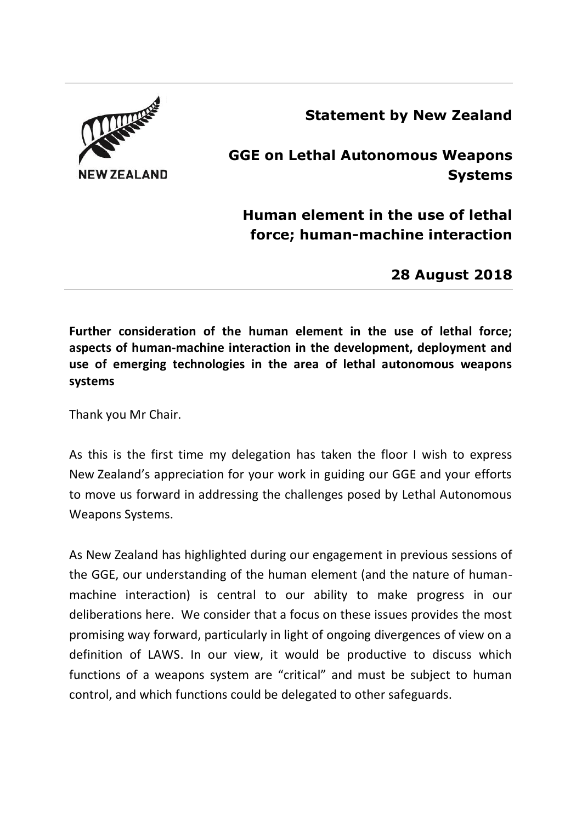## **Statement by New Zealand**



**GGE on Lethal Autonomous Weapons Systems**

**Human element in the use of lethal force; human-machine interaction**

**28 August 2018**

**Further consideration of the human element in the use of lethal force; aspects of human-machine interaction in the development, deployment and use of emerging technologies in the area of lethal autonomous weapons systems**

Thank you Mr Chair.

As this is the first time my delegation has taken the floor I wish to express New Zealand's appreciation for your work in guiding our GGE and your efforts to move us forward in addressing the challenges posed by Lethal Autonomous Weapons Systems.

As New Zealand has highlighted during our engagement in previous sessions of the GGE, our understanding of the human element (and the nature of humanmachine interaction) is central to our ability to make progress in our deliberations here. We consider that a focus on these issues provides the most promising way forward, particularly in light of ongoing divergences of view on a definition of LAWS. In our view, it would be productive to discuss which functions of a weapons system are "critical" and must be subject to human control, and which functions could be delegated to other safeguards.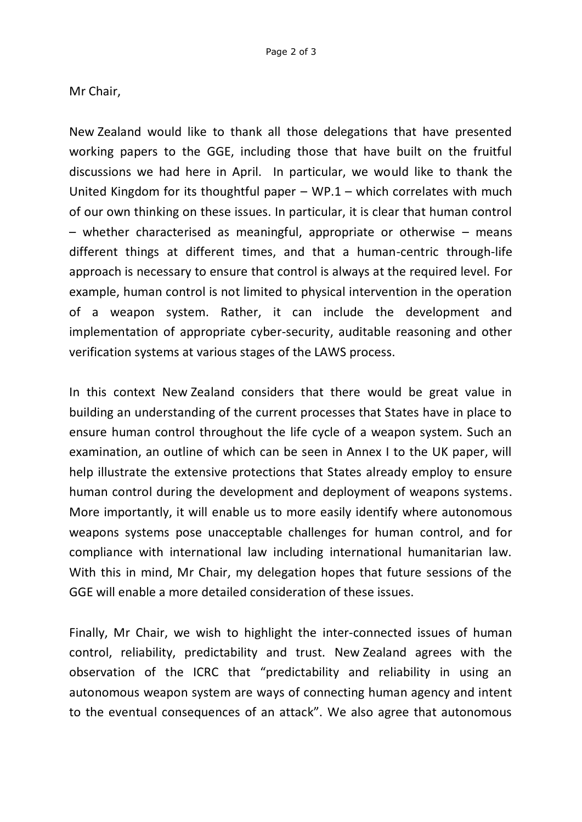## Mr Chair,

New Zealand would like to thank all those delegations that have presented working papers to the GGE, including those that have built on the fruitful discussions we had here in April. In particular, we would like to thank the United Kingdom for its thoughtful paper  $-$  WP.1 – which correlates with much of our own thinking on these issues. In particular, it is clear that human control – whether characterised as meaningful, appropriate or otherwise – means different things at different times, and that a human-centric through-life approach is necessary to ensure that control is always at the required level. For example, human control is not limited to physical intervention in the operation of a weapon system. Rather, it can include the development and implementation of appropriate cyber-security, auditable reasoning and other verification systems at various stages of the LAWS process.

In this context New Zealand considers that there would be great value in building an understanding of the current processes that States have in place to ensure human control throughout the life cycle of a weapon system. Such an examination, an outline of which can be seen in Annex I to the UK paper, will help illustrate the extensive protections that States already employ to ensure human control during the development and deployment of weapons systems. More importantly, it will enable us to more easily identify where autonomous weapons systems pose unacceptable challenges for human control, and for compliance with international law including international humanitarian law. With this in mind, Mr Chair, my delegation hopes that future sessions of the GGE will enable a more detailed consideration of these issues.

Finally, Mr Chair, we wish to highlight the inter-connected issues of human control, reliability, predictability and trust. New Zealand agrees with the observation of the ICRC that "predictability and reliability in using an autonomous weapon system are ways of connecting human agency and intent to the eventual consequences of an attack". We also agree that autonomous